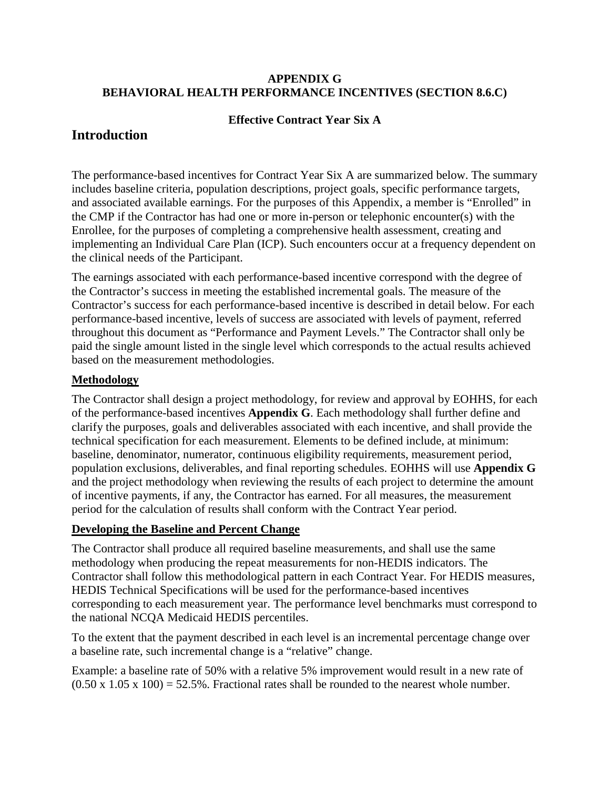#### **APPENDIX G BEHAVIORAL HEALTH PERFORMANCE INCENTIVES (SECTION 8.6.C)**

#### **Effective Contract Year Six A**

# **Introduction**

The performance-based incentives for Contract Year Six A are summarized below. The summary includes baseline criteria, population descriptions, project goals, specific performance targets, and associated available earnings. For the purposes of this Appendix, a member is "Enrolled" in the CMP if the Contractor has had one or more in-person or telephonic encounter(s) with the Enrollee, for the purposes of completing a comprehensive health assessment, creating and implementing an Individual Care Plan (ICP). Such encounters occur at a frequency dependent on the clinical needs of the Participant.

The earnings associated with each performance-based incentive correspond with the degree of the Contractor's success in meeting the established incremental goals. The measure of the Contractor's success for each performance-based incentive is described in detail below. For each performance-based incentive, levels of success are associated with levels of payment, referred throughout this document as "Performance and Payment Levels." The Contractor shall only be paid the single amount listed in the single level which corresponds to the actual results achieved based on the measurement methodologies.

### **Methodology**

The Contractor shall design a project methodology, for review and approval by EOHHS, for each of the performance-based incentives **Appendix G**. Each methodology shall further define and clarify the purposes, goals and deliverables associated with each incentive, and shall provide the technical specification for each measurement. Elements to be defined include, at minimum: baseline, denominator, numerator, continuous eligibility requirements, measurement period, population exclusions, deliverables, and final reporting schedules. EOHHS will use **Appendix G** and the project methodology when reviewing the results of each project to determine the amount of incentive payments, if any, the Contractor has earned. For all measures, the measurement period for the calculation of results shall conform with the Contract Year period.

### **Developing the Baseline and Percent Change**

The Contractor shall produce all required baseline measurements, and shall use the same methodology when producing the repeat measurements for non-HEDIS indicators. The Contractor shall follow this methodological pattern in each Contract Year. For HEDIS measures, HEDIS Technical Specifications will be used for the performance-based incentives corresponding to each measurement year. The performance level benchmarks must correspond to the national NCQA Medicaid HEDIS percentiles.

To the extent that the payment described in each level is an incremental percentage change over a baseline rate, such incremental change is a "relative" change.

Example: a baseline rate of 50% with a relative 5% improvement would result in a new rate of  $(0.50 \times 1.05 \times 100) = 52.5\%$ . Fractional rates shall be rounded to the nearest whole number.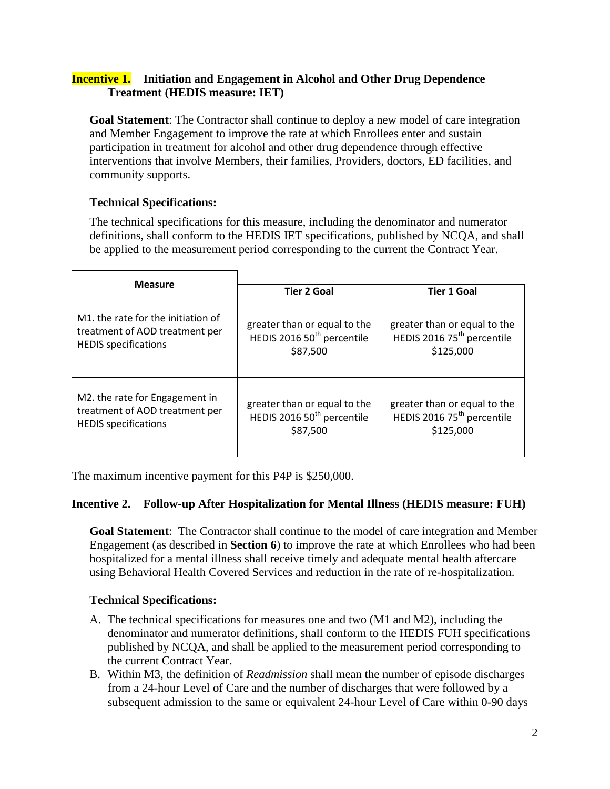### **Incentive 1. Initiation and Engagement in Alcohol and Other Drug Dependence Treatment (HEDIS measure: IET)**

**Goal Statement**: The Contractor shall continue to deploy a new model of care integration and Member Engagement to improve the rate at which Enrollees enter and sustain participation in treatment for alcohol and other drug dependence through effective interventions that involve Members, their families, Providers, doctors, ED facilities, and community supports.

## **Technical Specifications:**

The technical specifications for this measure, including the denominator and numerator definitions, shall conform to the HEDIS IET specifications, published by NCQA, and shall be applied to the measurement period corresponding to the current the Contract Year.

| <b>Measure</b>                     | <b>Tier 2 Goal</b>                     | <b>Tier 1 Goal</b>                     |  |
|------------------------------------|----------------------------------------|----------------------------------------|--|
| M1, the rate for the initiation of | greater than or equal to the           | greater than or equal to the           |  |
| treatment of AOD treatment per     | HEDIS 2016 50 <sup>th</sup> percentile | HEDIS 2016 75 <sup>th</sup> percentile |  |
| <b>HEDIS</b> specifications        | \$87,500                               | \$125,000                              |  |
| M2. the rate for Engagement in     | greater than or equal to the           | greater than or equal to the           |  |
| treatment of AOD treatment per     | HEDIS 2016 50 <sup>th</sup> percentile | HEDIS 2016 75 <sup>th</sup> percentile |  |
| <b>HEDIS</b> specifications        | \$87,500                               | \$125,000                              |  |

The maximum incentive payment for this P4P is \$250,000.

### **Incentive 2. Follow-up After Hospitalization for Mental Illness (HEDIS measure: FUH)**

**Goal Statement**: The Contractor shall continue to the model of care integration and Member Engagement (as described in **Section 6**) to improve the rate at which Enrollees who had been hospitalized for a mental illness shall receive timely and adequate mental health aftercare using Behavioral Health Covered Services and reduction in the rate of re-hospitalization.

### **Technical Specifications:**

- A. The technical specifications for measures one and two (M1 and M2), including the denominator and numerator definitions, shall conform to the HEDIS FUH specifications published by NCQA, and shall be applied to the measurement period corresponding to the current Contract Year.
- B. Within M3, the definition of *Readmission* shall mean the number of episode discharges from a 24-hour Level of Care and the number of discharges that were followed by a subsequent admission to the same or equivalent 24-hour Level of Care within 0-90 days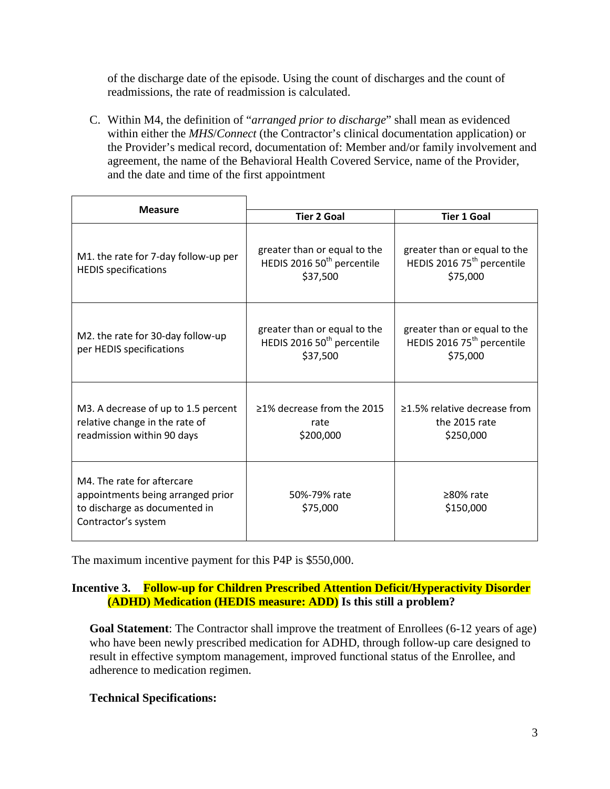of the discharge date of the episode. Using the count of discharges and the count of readmissions, the rate of readmission is calculated.

C. Within M4, the definition of "*arranged prior to discharge*" shall mean as evidenced within either the *MHS*/*Connect* (the Contractor's clinical documentation application) or the Provider's medical record, documentation of: Member and/or family involvement and agreement, the name of the Behavioral Health Covered Service, name of the Provider, and the date and time of the first appointment

| <b>Measure</b>                                                                                                          |                                                                                    |                                                                                    |  |
|-------------------------------------------------------------------------------------------------------------------------|------------------------------------------------------------------------------------|------------------------------------------------------------------------------------|--|
|                                                                                                                         | <b>Tier 2 Goal</b>                                                                 | <b>Tier 1 Goal</b>                                                                 |  |
| M1. the rate for 7-day follow-up per<br><b>HEDIS specifications</b>                                                     | greater than or equal to the<br>HEDIS 2016 50 <sup>th</sup> percentile<br>\$37,500 | greater than or equal to the<br>HEDIS 2016 75 <sup>th</sup> percentile<br>\$75,000 |  |
| M2. the rate for 30-day follow-up<br>per HEDIS specifications                                                           | greater than or equal to the<br>HEDIS 2016 50 <sup>th</sup> percentile<br>\$37,500 | greater than or equal to the<br>HEDIS 2016 75 <sup>th</sup> percentile<br>\$75,000 |  |
| M3. A decrease of up to 1.5 percent<br>relative change in the rate of<br>readmission within 90 days                     | >1% decrease from the 2015<br>rate<br>\$200,000                                    | >1.5% relative decrease from<br>the 2015 rate<br>\$250,000                         |  |
| M4. The rate for aftercare<br>appointments being arranged prior<br>to discharge as documented in<br>Contractor's system | 50%-79% rate<br>\$75,000                                                           | >80% rate<br>\$150,000                                                             |  |

The maximum incentive payment for this P4P is \$550,000.

### **Incentive 3. Follow-up for Children Prescribed Attention Deficit/Hyperactivity Disorder (ADHD) Medication (HEDIS measure: ADD) Is this still a problem?**

**Goal Statement**: The Contractor shall improve the treatment of Enrollees (6-12 years of age) who have been newly prescribed medication for ADHD, through follow-up care designed to result in effective symptom management, improved functional status of the Enrollee, and adherence to medication regimen.

### **Technical Specifications:**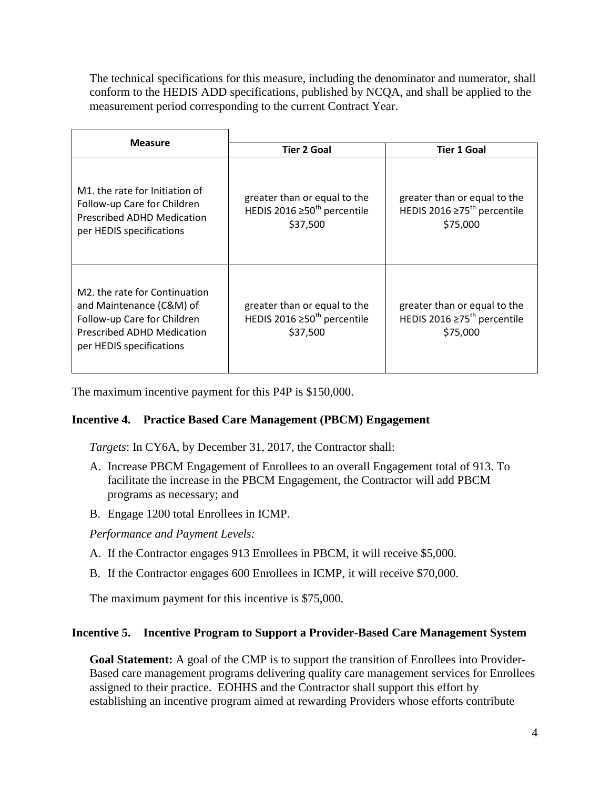The technical specifications for this measure, including the denominator and numerator, shall conform to the HEDIS ADD specifications, published by NCQA, and shall be applied to the measurement period corresponding to the current Contract Year.

| <b>Measure</b>                                                                                                                                            |                                                                                                                                                                            |                                                                                           |  |
|-----------------------------------------------------------------------------------------------------------------------------------------------------------|----------------------------------------------------------------------------------------------------------------------------------------------------------------------------|-------------------------------------------------------------------------------------------|--|
|                                                                                                                                                           | <b>Tier 2 Goal</b>                                                                                                                                                         | <b>Tier 1 Goal</b>                                                                        |  |
| M1, the rate for Initiation of<br>Follow-up Care for Children<br>Prescribed ADHD Medication<br>per HEDIS specifications                                   | greater than or equal to the<br>HEDIS 2016 ≥50 <sup>th</sup> percentile<br>\$37,500                                                                                        | greater than or equal to the<br>HEDIS 2016 $\geq$ 75 <sup>th</sup> percentile<br>\$75,000 |  |
| M2, the rate for Continuation<br>and Maintenance (C&M) of<br>Follow-up Care for Children<br><b>Prescribed ADHD Medication</b><br>per HEDIS specifications | greater than or equal to the<br>greater than or equal to the<br>HEDIS 2016 ≥75 <sup>th</sup> percentile<br>HEDIS 2016 ≥50 <sup>th</sup> percentile<br>\$37,500<br>\$75,000 |                                                                                           |  |

The maximum incentive payment for this P4P is \$150,000.

### **Incentive 4. Practice Based Care Management (PBCM) Engagement**

*Targets*: In CY6A, by December 31, 2017, the Contractor shall:

- A. Increase PBCM Engagement of Enrollees to an overall Engagement total of 913. To facilitate the increase in the PBCM Engagement, the Contractor will add PBCM programs as necessary; and
- B. Engage 1200 total Enrollees in ICMP.

*Performance and Payment Levels:*

- A. If the Contractor engages 913 Enrollees in PBCM, it will receive \$5,000.
- B. If the Contractor engages 600 Enrollees in ICMP, it will receive \$70,000.

The maximum payment for this incentive is \$75,000.

#### **Incentive 5. Incentive Program to Support a Provider-Based Care Management System**

Goal Statement: A goal of the CMP is to support the transition of Enrollees into Provider-Based care management programs delivering quality care management services for Enrollees assigned to their practice. EOHHS and the Contractor shall support this effort by establishing an incentive program aimed at rewarding Providers whose efforts contribute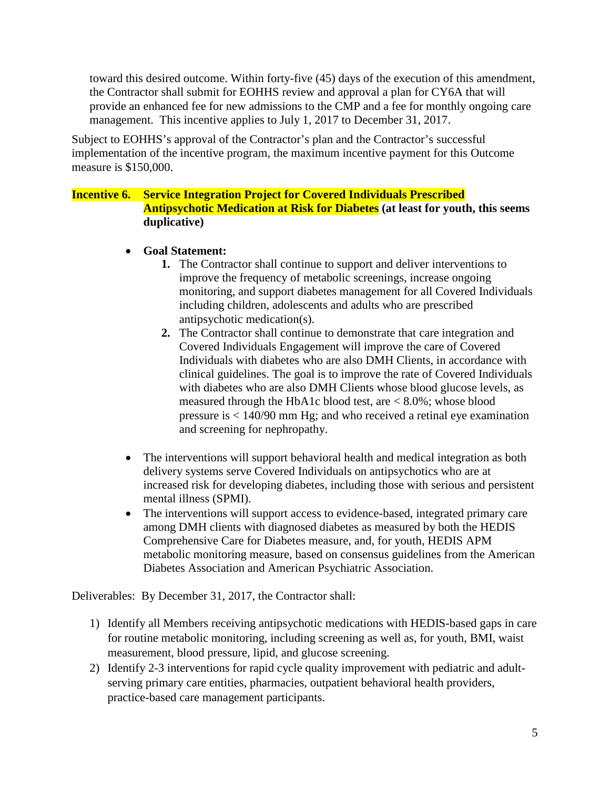toward this desired outcome. Within forty-five (45) days of the execution of this amendment, the Contractor shall submit for EOHHS review and approval a plan for CY6A that will provide an enhanced fee for new admissions to the CMP and a fee for monthly ongoing care management. This incentive applies to July 1, 2017 to December 31, 2017.

Subject to EOHHS's approval of the Contractor's plan and the Contractor's successful implementation of the incentive program, the maximum incentive payment for this Outcome measure is \$150,000.

### **Incentive 6. Service Integration Project for Covered Individuals Prescribed Antipsychotic Medication at Risk for Diabetes (at least for youth, this seems duplicative)**

- **Goal Statement:**
	- **1.** The Contractor shall continue to support and deliver interventions to improve the frequency of metabolic screenings, increase ongoing monitoring, and support diabetes management for all Covered Individuals including children, adolescents and adults who are prescribed antipsychotic medication(s).
	- **2.** The Contractor shall continue to demonstrate that care integration and Covered Individuals Engagement will improve the care of Covered Individuals with diabetes who are also DMH Clients, in accordance with clinical guidelines. The goal is to improve the rate of Covered Individuals with diabetes who are also DMH Clients whose blood glucose levels, as measured through the HbA1c blood test, are < 8.0%; whose blood pressure is < 140/90 mm Hg; and who received a retinal eye examination and screening for nephropathy.
- The interventions will support behavioral health and medical integration as both delivery systems serve Covered Individuals on antipsychotics who are at increased risk for developing diabetes, including those with serious and persistent mental illness (SPMI).
- The interventions will support access to evidence-based, integrated primary care among DMH clients with diagnosed diabetes as measured by both the HEDIS Comprehensive Care for Diabetes measure, and, for youth, HEDIS APM metabolic monitoring measure, based on consensus guidelines from the American Diabetes Association and American Psychiatric Association.

Deliverables: By December 31, 2017, the Contractor shall:

- 1) Identify all Members receiving antipsychotic medications with HEDIS-based gaps in care for routine metabolic monitoring, including screening as well as, for youth, BMI, waist measurement, blood pressure, lipid, and glucose screening.
- 2) Identify 2-3 interventions for rapid cycle quality improvement with pediatric and adultserving primary care entities, pharmacies, outpatient behavioral health providers, practice-based care management participants.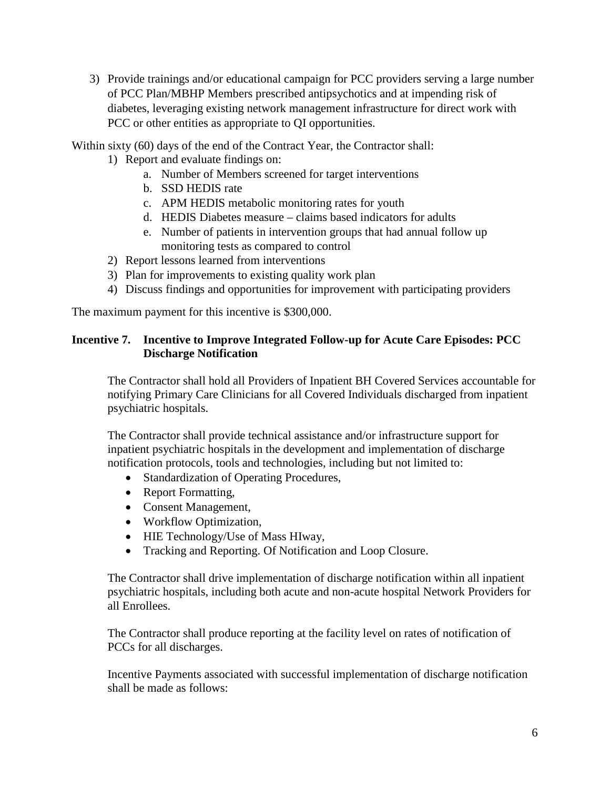3) Provide trainings and/or educational campaign for PCC providers serving a large number of PCC Plan/MBHP Members prescribed antipsychotics and at impending risk of diabetes, leveraging existing network management infrastructure for direct work with PCC or other entities as appropriate to QI opportunities.

Within sixty (60) days of the end of the Contract Year, the Contractor shall:

- 1) Report and evaluate findings on:
	- a. Number of Members screened for target interventions
	- b. SSD HEDIS rate
	- c. APM HEDIS metabolic monitoring rates for youth
	- d. HEDIS Diabetes measure claims based indicators for adults
	- e. Number of patients in intervention groups that had annual follow up monitoring tests as compared to control
- 2) Report lessons learned from interventions
- 3) Plan for improvements to existing quality work plan
- 4) Discuss findings and opportunities for improvement with participating providers

The maximum payment for this incentive is \$300,000.

#### **Incentive 7. Incentive to Improve Integrated Follow-up for Acute Care Episodes: PCC Discharge Notification**

The Contractor shall hold all Providers of Inpatient BH Covered Services accountable for notifying Primary Care Clinicians for all Covered Individuals discharged from inpatient psychiatric hospitals.

The Contractor shall provide technical assistance and/or infrastructure support for inpatient psychiatric hospitals in the development and implementation of discharge notification protocols, tools and technologies, including but not limited to:

- Standardization of Operating Procedures,
- Report Formatting,
- Consent Management,
- Workflow Optimization,
- HIE Technology/Use of Mass HIway,
- Tracking and Reporting. Of Notification and Loop Closure.

The Contractor shall drive implementation of discharge notification within all inpatient psychiatric hospitals, including both acute and non-acute hospital Network Providers for all Enrollees.

The Contractor shall produce reporting at the facility level on rates of notification of PCCs for all discharges.

Incentive Payments associated with successful implementation of discharge notification shall be made as follows: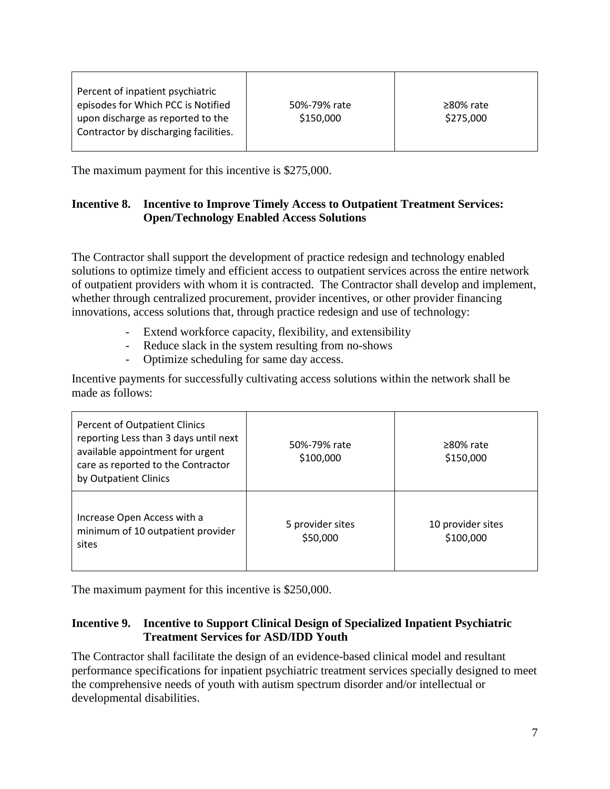| Percent of inpatient psychiatric      |              |                 |
|---------------------------------------|--------------|-----------------|
| episodes for Which PCC is Notified    | 50%-79% rate | $\geq$ 80% rate |
| upon discharge as reported to the     | \$150,000    | \$275,000       |
| Contractor by discharging facilities. |              |                 |
|                                       |              |                 |

The maximum payment for this incentive is \$275,000.

## **Incentive 8. Incentive to Improve Timely Access to Outpatient Treatment Services: Open/Technology Enabled Access Solutions**

The Contractor shall support the development of practice redesign and technology enabled solutions to optimize timely and efficient access to outpatient services across the entire network of outpatient providers with whom it is contracted. The Contractor shall develop and implement, whether through centralized procurement, provider incentives, or other provider financing innovations, access solutions that, through practice redesign and use of technology:

- Extend workforce capacity, flexibility, and extensibility
- Reduce slack in the system resulting from no-shows
- Optimize scheduling for same day access.

Incentive payments for successfully cultivating access solutions within the network shall be made as follows:

| Percent of Outpatient Clinics<br>reporting Less than 3 days until next<br>available appointment for urgent<br>care as reported to the Contractor<br>by Outpatient Clinics | 50%-79% rate<br>\$100,000    | $\geq$ 80% rate<br>\$150,000   |
|---------------------------------------------------------------------------------------------------------------------------------------------------------------------------|------------------------------|--------------------------------|
| Increase Open Access with a<br>minimum of 10 outpatient provider<br>sites                                                                                                 | 5 provider sites<br>\$50,000 | 10 provider sites<br>\$100,000 |

The maximum payment for this incentive is \$250,000.

#### **Incentive 9. Incentive to Support Clinical Design of Specialized Inpatient Psychiatric Treatment Services for ASD/IDD Youth**

The Contractor shall facilitate the design of an evidence-based clinical model and resultant performance specifications for inpatient psychiatric treatment services specially designed to meet the comprehensive needs of youth with autism spectrum disorder and/or intellectual or developmental disabilities.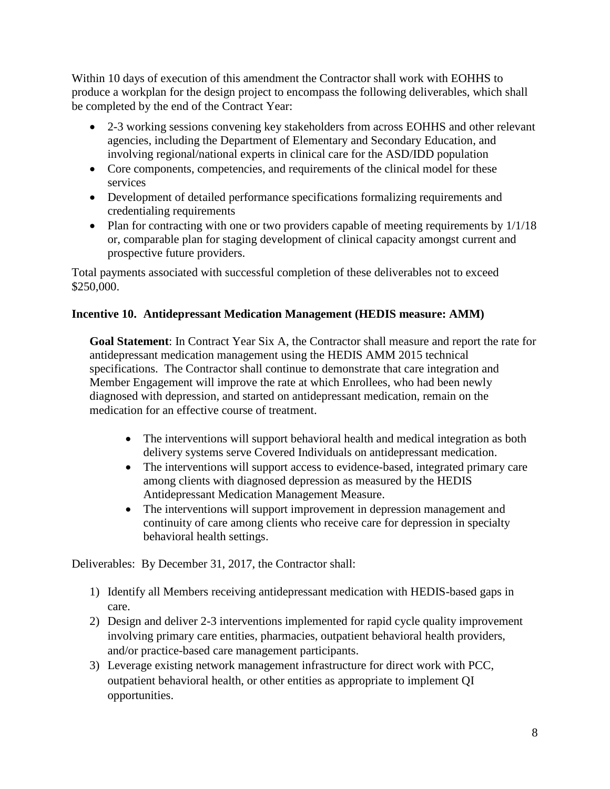Within 10 days of execution of this amendment the Contractor shall work with EOHHS to produce a workplan for the design project to encompass the following deliverables, which shall be completed by the end of the Contract Year:

- 2-3 working sessions convening key stakeholders from across EOHHS and other relevant agencies, including the Department of Elementary and Secondary Education, and involving regional/national experts in clinical care for the ASD/IDD population
- Core components, competencies, and requirements of the clinical model for these services
- Development of detailed performance specifications formalizing requirements and credentialing requirements
- Plan for contracting with one or two providers capable of meeting requirements by  $1/1/18$ or, comparable plan for staging development of clinical capacity amongst current and prospective future providers.

Total payments associated with successful completion of these deliverables not to exceed \$250,000.

# **Incentive 10. Antidepressant Medication Management (HEDIS measure: AMM)**

**Goal Statement**: In Contract Year Six A, the Contractor shall measure and report the rate for antidepressant medication management using the HEDIS AMM 2015 technical specifications. The Contractor shall continue to demonstrate that care integration and Member Engagement will improve the rate at which Enrollees, who had been newly diagnosed with depression, and started on antidepressant medication, remain on the medication for an effective course of treatment.

- The interventions will support behavioral health and medical integration as both delivery systems serve Covered Individuals on antidepressant medication.
- The interventions will support access to evidence-based, integrated primary care among clients with diagnosed depression as measured by the HEDIS Antidepressant Medication Management Measure.
- The interventions will support improvement in depression management and continuity of care among clients who receive care for depression in specialty behavioral health settings.

Deliverables: By December 31, 2017, the Contractor shall:

- 1) Identify all Members receiving antidepressant medication with HEDIS-based gaps in care.
- 2) Design and deliver 2-3 interventions implemented for rapid cycle quality improvement involving primary care entities, pharmacies, outpatient behavioral health providers, and/or practice-based care management participants.
- 3) Leverage existing network management infrastructure for direct work with PCC, outpatient behavioral health, or other entities as appropriate to implement QI opportunities.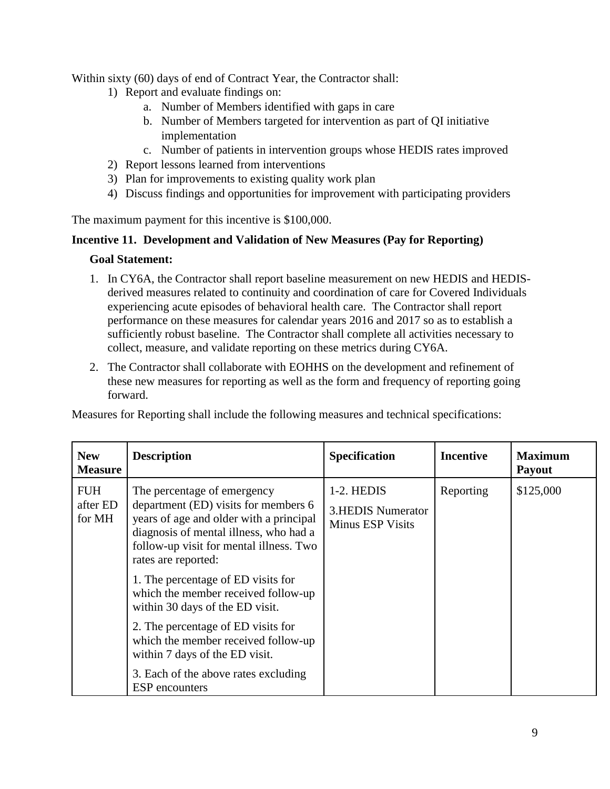Within sixty (60) days of end of Contract Year, the Contractor shall:

- 1) Report and evaluate findings on:
	- a. Number of Members identified with gaps in care
	- b. Number of Members targeted for intervention as part of QI initiative implementation
	- c. Number of patients in intervention groups whose HEDIS rates improved
- 2) Report lessons learned from interventions
- 3) Plan for improvements to existing quality work plan
- 4) Discuss findings and opportunities for improvement with participating providers

The maximum payment for this incentive is \$100,000.

#### **Incentive 11. Development and Validation of New Measures (Pay for Reporting)**

#### **Goal Statement:**

- 1. In CY6A, the Contractor shall report baseline measurement on new HEDIS and HEDISderived measures related to continuity and coordination of care for Covered Individuals experiencing acute episodes of behavioral health care. The Contractor shall report performance on these measures for calendar years 2016 and 2017 so as to establish a sufficiently robust baseline. The Contractor shall complete all activities necessary to collect, measure, and validate reporting on these metrics during CY6A.
- 2. The Contractor shall collaborate with EOHHS on the development and refinement of these new measures for reporting as well as the form and frequency of reporting going forward.

Measures for Reporting shall include the following measures and technical specifications:

| <b>New</b><br><b>Measure</b>     | <b>Description</b>                                                                                                                                                                                                         | <b>Specification</b>                                              | <b>Incentive</b> | <b>Maximum</b><br><b>Payout</b> |
|----------------------------------|----------------------------------------------------------------------------------------------------------------------------------------------------------------------------------------------------------------------------|-------------------------------------------------------------------|------------------|---------------------------------|
| <b>FUH</b><br>after ED<br>for MH | The percentage of emergency<br>department (ED) visits for members 6<br>years of age and older with a principal<br>diagnosis of mental illness, who had a<br>follow-up visit for mental illness. Two<br>rates are reported: | 1-2. HEDIS<br><b>3.HEDIS Numerator</b><br><b>Minus ESP Visits</b> | Reporting        | \$125,000                       |
|                                  | 1. The percentage of ED visits for<br>which the member received follow-up<br>within 30 days of the ED visit.                                                                                                               |                                                                   |                  |                                 |
|                                  | 2. The percentage of ED visits for<br>which the member received follow-up<br>within 7 days of the ED visit.                                                                                                                |                                                                   |                  |                                 |
|                                  | 3. Each of the above rates excluding<br><b>ESP</b> encounters                                                                                                                                                              |                                                                   |                  |                                 |